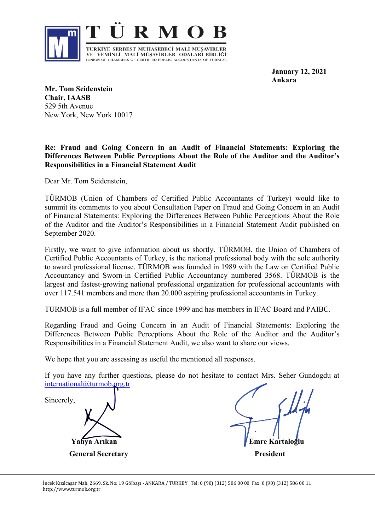

**January 12, 2021 Ankara**

**Mr. Tom Seidenstein Chair, IAASB** 529 5th Avenue New York, New York 10017

## **Re: Fraud and Going Concern in an Audit of Financial Statements: Exploring the Differences Between Public Perceptions About the Role of the Auditor and the Auditor's Responsibilities in a Financial Statement Audit**

Dear Mr. Tom Seidenstein,

TÜRMOB (Union of Chambers of Certified Public Accountants of Turkey) would like to summit its comments to you about Consultation Paper on Fraud and Going Concern in an Audit of Financial Statements: Exploring the Differences Between Public Perceptions About the Role of the Auditor and the Auditor's Responsibilities in a Financial Statement Audit published on September 2020.

Firstly, we want to give information about us shortly. TÜRMOB, the Union of Chambers of Certified Public Accountants of Turkey, is the national professional body with the sole authority to award professional license. TÜRMOB was founded in 1989 with the Law on Certified Public Accountancy and Sworn-in Certified Public Accountancy numbered 3568. TÜRMOB is the largest and fastest-growing national professional organization for professional accountants with over 117.541 members and more than 20.000 aspiring professional accountants in Turkey.

TURMOB is a full member of IFAC since 1999 and has members in IFAC Board and PAIBC.

Regarding Fraud and Going Concern in an Audit of Financial Statements: Exploring the Differences Between Public Perceptions About the Role of the Auditor and the Auditor's Responsibilities in a Financial Statement Audit, we also want to share our views.

We hope that you are assessing as useful the mentioned all responses.

If you have any further questions, please do not hesitate to contact Mrs. Seher Gundogdu at [international@turmob.org.tr](mailto:international@turmob.org.tr)

Sincerely,

 **Yahya Arıkan Emre Kartaloğlu General Secretary President President**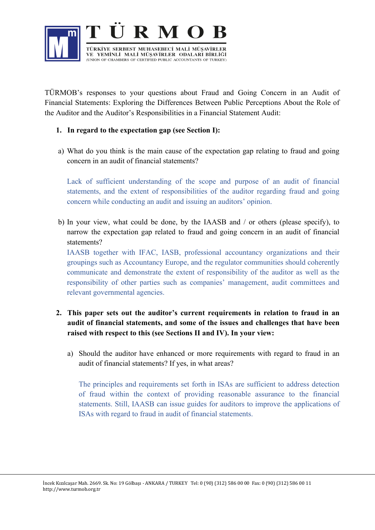

TÜRMOB's responses to your questions about Fraud and Going Concern in an Audit of Financial Statements: Exploring the Differences Between Public Perceptions About the Role of the Auditor and the Auditor's Responsibilities in a Financial Statement Audit:

## **1. In regard to the expectation gap (see Section I):**

a) What do you think is the main cause of the expectation gap relating to fraud and going concern in an audit of financial statements?

Lack of sufficient understanding of the scope and purpose of an audit of financial statements, and the extent of responsibilities of the auditor regarding fraud and going concern while conducting an audit and issuing an auditors' opinion.

b) In your view, what could be done, by the IAASB and / or others (please specify), to narrow the expectation gap related to fraud and going concern in an audit of financial statements?

IAASB together with IFAC, IASB, professional accountancy organizations and their groupings such as Accountancy Europe, and the regulator communities should coherently communicate and demonstrate the extent of responsibility of the auditor as well as the responsibility of other parties such as companies' management, audit committees and relevant governmental agencies.

- **2. This paper sets out the auditor's current requirements in relation to fraud in an audit of financial statements, and some of the issues and challenges that have been raised with respect to this (see Sections II and IV). In your view:**
	- a) Should the auditor have enhanced or more requirements with regard to fraud in an audit of financial statements? If yes, in what areas?

The principles and requirements set forth in ISAs are sufficient to address detection of fraud within the context of providing reasonable assurance to the financial statements. Still, IAASB can issue guides for auditors to improve the applications of ISAs with regard to fraud in audit of financial statements.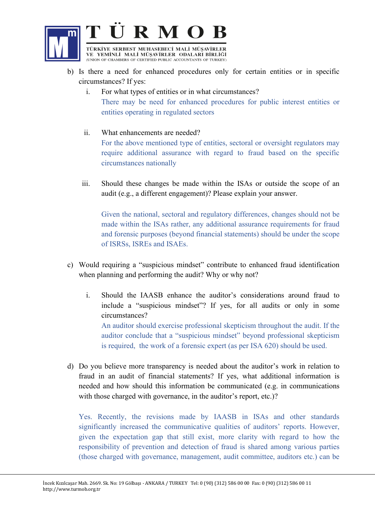

- b) Is there a need for enhanced procedures only for certain entities or in specific circumstances? If yes:
	- i. For what types of entities or in what circumstances? There may be need for enhanced procedures for public interest entities or entities operating in regulated sectors
	- ii. What enhancements are needed? For the above mentioned type of entities, sectoral or oversight regulators may require additional assurance with regard to fraud based on the specific circumstances nationally
	- iii. Should these changes be made within the ISAs or outside the scope of an audit (e.g., a different engagement)? Please explain your answer.

Given the national, sectoral and regulatory differences, changes should not be made within the ISAs rather, any additional assurance requirements for fraud and forensic purposes (beyond financial statements) should be under the scope of ISRSs, ISREs and ISAEs.

- c) Would requiring a "suspicious mindset" contribute to enhanced fraud identification when planning and performing the audit? Why or why not?
	- i. Should the IAASB enhance the auditor's considerations around fraud to include a "suspicious mindset"? If yes, for all audits or only in some circumstances?

An auditor should exercise professional skepticism throughout the audit. If the auditor conclude that a "suspicious mindset" beyond professional skepticism is required, the work of a forensic expert (as per ISA 620) should be used.

d) Do you believe more transparency is needed about the auditor's work in relation to fraud in an audit of financial statements? If yes, what additional information is needed and how should this information be communicated (e.g. in communications with those charged with governance, in the auditor's report, etc.)?

Yes. Recently, the revisions made by IAASB in ISAs and other standards significantly increased the communicative qualities of auditors' reports. However, given the expectation gap that still exist, more clarity with regard to how the responsibility of prevention and detection of fraud is shared among various parties (those charged with governance, management, audit committee, auditors etc.) can be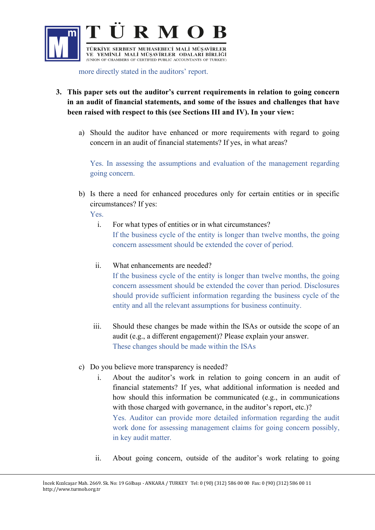

more directly stated in the auditors' report.

- **3. This paper sets out the auditor's current requirements in relation to going concern in an audit of financial statements, and some of the issues and challenges that have been raised with respect to this (see Sections III and IV). In your view:**
	- a) Should the auditor have enhanced or more requirements with regard to going concern in an audit of financial statements? If yes, in what areas?

Yes. In assessing the assumptions and evaluation of the management regarding going concern.

b) Is there a need for enhanced procedures only for certain entities or in specific circumstances? If yes:

Yes.

l

- i. For what types of entities or in what circumstances? If the business cycle of the entity is longer than twelve months, the going concern assessment should be extended the cover of period.
- ii. What enhancements are needed?

If the business cycle of the entity is longer than twelve months, the going concern assessment should be extended the cover than period. Disclosures should provide sufficient information regarding the business cycle of the entity and all the relevant assumptions for business continuity.

- iii. Should these changes be made within the ISAs or outside the scope of an audit (e.g., a different engagement)? Please explain your answer. These changes should be made within the ISAs
- c) Do you believe more transparency is needed?
	- i. About the auditor's work in relation to going concern in an audit of financial statements? If yes, what additional information is needed and how should this information be communicated (e.g., in communications with those charged with governance, in the auditor's report, etc.)? Yes. Auditor can provide more detailed information regarding the audit work done for assessing management claims for going concern possibly, in key audit matter.
	- ii. About going concern, outside of the auditor's work relating to going